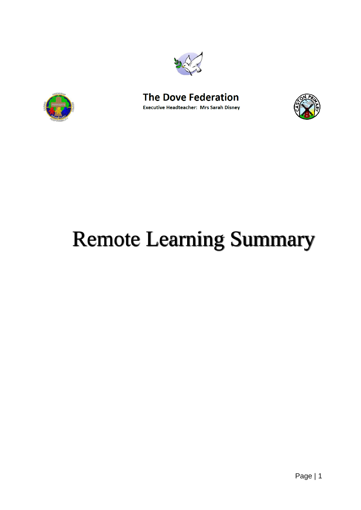





# Remote Learning Summary

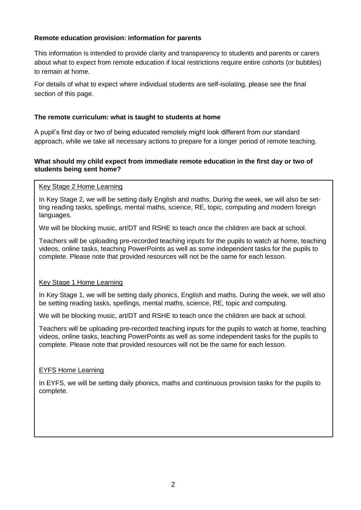# **Remote education provision: information for parents**

This information is intended to provide clarity and transparency to students and parents or carers about what to expect from remote education if local restrictions require entire cohorts (or bubbles) to remain at home.

For details of what to expect where individual students are self-isolating, please see the final section of this page.

## **The remote curriculum: what is taught to students at home**

A pupil's first day or two of being educated remotely might look different from our standard approach, while we take all necessary actions to prepare for a longer period of remote teaching.

## **What should my child expect from immediate remote education in the first day or two of students being sent home?**

#### Key Stage 2 Home Learning

In Key Stage 2, we will be setting daily English and maths. During the week, we will also be setting reading tasks, spellings, mental maths, science, RE, topic, computing and modern foreign languages.

We will be blocking music, art/DT and RSHE to teach once the children are back at school.

Teachers will be uploading pre-recorded teaching inputs for the pupils to watch at home, teaching videos, online tasks, teaching PowerPoints as well as some independent tasks for the pupils to complete. Please note that provided resources will not be the same for each lesson.

#### Key Stage 1 Home Learning

In Key Stage 1, we will be setting daily phonics, English and maths. During the week, we will also be setting reading tasks, spellings, mental maths, science, RE, topic and computing.

We will be blocking music, art/DT and RSHE to teach once the children are back at school.

Teachers will be uploading pre-recorded teaching inputs for the pupils to watch at home, teaching videos, online tasks, teaching PowerPoints as well as some independent tasks for the pupils to complete. Please note that provided resources will not be the same for each lesson.

#### EYFS Home Learning

In EYFS, we will be setting daily phonics, maths and continuous provision tasks for the pupils to complete.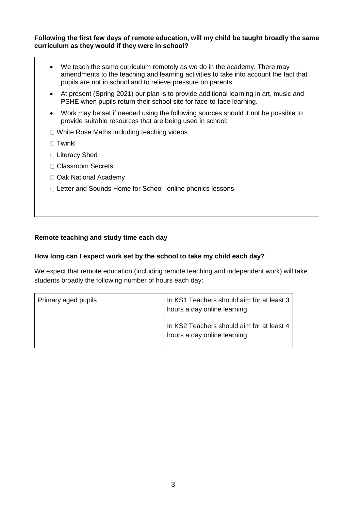#### **Following the first few days of remote education, will my child be taught broadly the same curriculum as they would if they were in school?**

 We teach the same curriculum remotely as we do in the academy. There may amendments to the teaching and learning activities to take into account the fact that pupils are not in school and to relieve pressure on parents. At present (Spring 2021) our plan is to provide additional learning in art, music and PSHE when pupils return their school site for face-to-face learning. Work may be set if needed using the following sources should it not be possible to provide suitable resources that are being used in school: □ White Rose Maths including teaching videos  $\Box$  Twinkl □ Literacy Shed □ Classroom Secrets □ Oak National Academy □ Letter and Sounds Home for School- online phonics lessons

# **Remote teaching and study time each day**

#### **How long can I expect work set by the school to take my child each day?**

We expect that remote education (including remote teaching and independent work) will take students broadly the following number of hours each day:

| Primary aged pupils | In KS1 Teachers should aim for at least 3<br>hours a day online learning. |
|---------------------|---------------------------------------------------------------------------|
|                     | In KS2 Teachers should aim for at least 4<br>hours a day online learning. |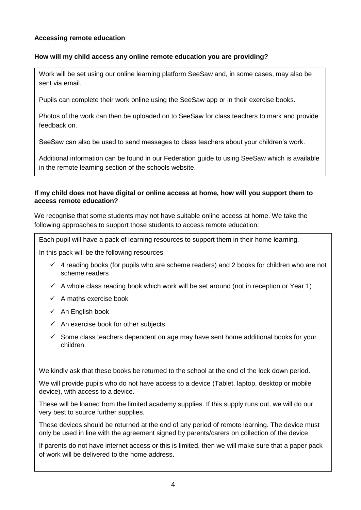# **Accessing remote education**

## **How will my child access any online remote education you are providing?**

Work will be set using our online learning platform SeeSaw and, in some cases, may also be sent via email.

Pupils can complete their work online using the SeeSaw app or in their exercise books.

Photos of the work can then be uploaded on to SeeSaw for class teachers to mark and provide feedback on.

SeeSaw can also be used to send messages to class teachers about your children's work.

Additional information can be found in our Federation guide to using SeeSaw which is available in the remote learning section of the schools website.

## **If my child does not have digital or online access at home, how will you support them to access remote education?**

We recognise that some students may not have suitable online access at home. We take the following approaches to support those students to access remote education:

Each pupil will have a pack of learning resources to support them in their home learning.

In this pack will be the following resources:

- $\checkmark$  4 reading books (for pupils who are scheme readers) and 2 books for children who are not scheme readers
- $\checkmark$  A whole class reading book which work will be set around (not in reception or Year 1)
- $\checkmark$  A maths exercise book
- $\checkmark$  An English book
- $\checkmark$  An exercise book for other subjects
- $\checkmark$  Some class teachers dependent on age may have sent home additional books for your children.

We kindly ask that these books be returned to the school at the end of the lock down period.

We will provide pupils who do not have access to a device (Tablet, laptop, desktop or mobile device), with access to a device.

These will be loaned from the limited academy supplies. If this supply runs out, we will do our very best to source further supplies.

These devices should be returned at the end of any period of remote learning. The device must only be used in line with the agreement signed by parents/carers on collection of the device.

If parents do not have internet access or this is limited, then we will make sure that a paper pack of work will be delivered to the home address.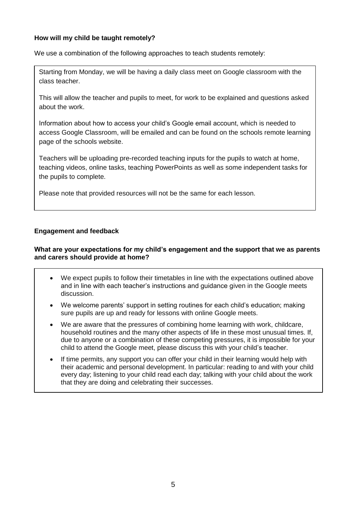# **How will my child be taught remotely?**

We use a combination of the following approaches to teach students remotely:

Starting from Monday, we will be having a daily class meet on Google classroom with the class teacher.

This will allow the teacher and pupils to meet, for work to be explained and questions asked about the work.

Information about how to access your child's Google email account, which is needed to access Google Classroom, will be emailed and can be found on the schools remote learning page of the schools website.

Teachers will be uploading pre-recorded teaching inputs for the pupils to watch at home, teaching videos, online tasks, teaching PowerPoints as well as some independent tasks for the pupils to complete.

Please note that provided resources will not be the same for each lesson.

# **Engagement and feedback**

#### **What are your expectations for my child's engagement and the support that we as parents and carers should provide at home?**

- We expect pupils to follow their timetables in line with the expectations outlined above and in line with each teacher's instructions and guidance given in the Google meets discussion.
- We welcome parents' support in setting routines for each child's education; making sure pupils are up and ready for lessons with online Google meets.
- We are aware that the pressures of combining home learning with work, childcare, household routines and the many other aspects of life in these most unusual times. If, due to anyone or a combination of these competing pressures, it is impossible for your child to attend the Google meet, please discuss this with your child's teacher.
- If time permits, any support you can offer your child in their learning would help with their academic and personal development. In particular: reading to and with your child every day; listening to your child read each day; talking with your child about the work that they are doing and celebrating their successes.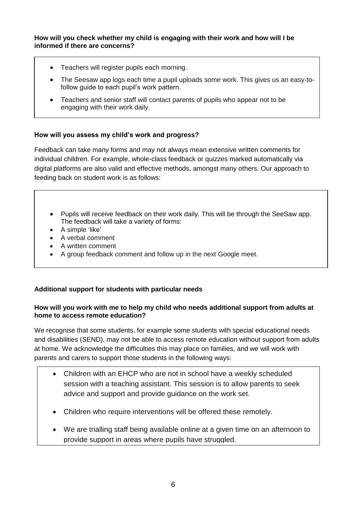## **How will you check whether my child is engaging with their work and how will I be informed if there are concerns?**

- Teachers will register pupils each morning.
- The Seesaw app logs each time a pupil uploads some work. This gives us an easy-tofollow guide to each pupil's work pattern.
- Teachers and senior staff will contact parents of pupils who appear not to be engaging with their work daily.

# **How will you assess my child's work and progress?**

Feedback can take many forms and may not always mean extensive written comments for individual children. For example, whole-class feedback or quizzes marked automatically via digital platforms are also valid and effective methods, amongst many others. Our approach to feeding back on student work is as follows:

- Pupils will receive feedback on their work daily. This will be through the SeeSaw app. The feedback will take a variety of forms:
- A simple 'like'
- A verbal comment
- A written comment
- A group feedback comment and follow up in the next Google meet.

# **Additional support for students with particular needs**

#### **How will you work with me to help my child who needs additional support from adults at home to access remote education?**

We recognise that some students, for example some students with special educational needs and disabilities (SEND), may not be able to access remote education without support from adults at home. We acknowledge the difficulties this may place on families, and we will work with parents and carers to support those students in the following ways:

- Children with an EHCP who are not in school have a weekly scheduled session with a teaching assistant. This session is to allow parents to seek advice and support and provide guidance on the work set.
- Children who require interventions will be offered these remotely.
- We are trialling staff being available online at a given time on an afternoon to provide support in areas where pupils have struggled.